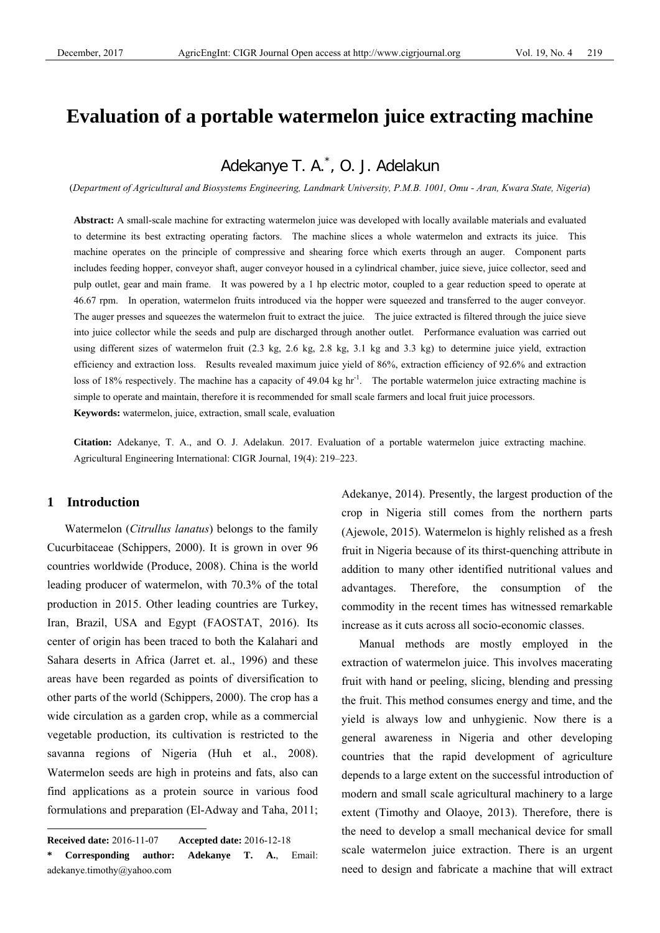# **Evaluation of a portable watermelon juice extracting machine**

## Adekanye T. A.\* , O. J. Adelakun

(*Department of Agricultural and Biosystems Engineering, Landmark University, P.M.B. 1001, Omu - Aran, Kwara State, Nigeria*)

**Abstract:** A small-scale machine for extracting watermelon juice was developed with locally available materials and evaluated to determine its best extracting operating factors. The machine slices a whole watermelon and extracts its juice. This machine operates on the principle of compressive and shearing force which exerts through an auger. Component parts includes feeding hopper, conveyor shaft, auger conveyor housed in a cylindrical chamber, juice sieve, juice collector, seed and pulp outlet, gear and main frame. It was powered by a 1 hp electric motor, coupled to a gear reduction speed to operate at 46.67 rpm. In operation, watermelon fruits introduced via the hopper were squeezed and transferred to the auger conveyor. The auger presses and squeezes the watermelon fruit to extract the juice. The juice extracted is filtered through the juice sieve into juice collector while the seeds and pulp are discharged through another outlet. Performance evaluation was carried out using different sizes of watermelon fruit (2.3 kg, 2.6 kg, 2.8 kg, 3.1 kg and 3.3 kg) to determine juice yield, extraction efficiency and extraction loss. Results revealed maximum juice yield of 86%, extraction efficiency of 92.6% and extraction loss of 18% respectively. The machine has a capacity of 49.04 kg hr<sup>-1</sup>. The portable watermelon juice extracting machine is simple to operate and maintain, therefore it is recommended for small scale farmers and local fruit juice processors.

**Keywords:** watermelon, juice, extraction, small scale, evaluation

**Citation:** Adekanye, T. A., and O. J. Adelakun. 2017. Evaluation of a portable watermelon juice extracting machine. Agricultural Engineering International: CIGR Journal, 19(4): 219–223.

## **1 Introduction**

 $\overline{a}$ 

 Watermelon (*Citrullus lanatus*) belongs to the family Cucurbitaceae (Schippers, 2000). It is grown in over 96 countries worldwide (Produce, 2008). China is the world leading producer of watermelon, with 70.3% of the total production in 2015. Other leading countries are Turkey, Iran, Brazil, USA and Egypt (FAOSTAT, 2016). Its center of origin has been traced to both the Kalahari and Sahara deserts in Africa (Jarret et. al., 1996) and these areas have been regarded as points of diversification to other parts of the world (Schippers, 2000). The crop has a wide circulation as a garden crop, while as a commercial vegetable production, its cultivation is restricted to the savanna regions of Nigeria (Huh et al., 2008). Watermelon seeds are high in proteins and fats, also can find applications as a protein source in various food formulations and preparation (El-Adway and Taha, 2011; Adekanye, 2014). Presently, the largest production of the crop in Nigeria still comes from the northern parts (Ajewole, 2015). Watermelon is highly relished as a fresh fruit in Nigeria because of its thirst-quenching attribute in addition to many other identified nutritional values and advantages. Therefore, the consumption of the commodity in the recent times has witnessed remarkable increase as it cuts across all socio-economic classes.

 Manual methods are mostly employed in the extraction of watermelon juice. This involves macerating fruit with hand or peeling, slicing, blending and pressing the fruit. This method consumes energy and time, and the yield is always low and unhygienic. Now there is a general awareness in Nigeria and other developing countries that the rapid development of agriculture depends to a large extent on the successful introduction of modern and small scale agricultural machinery to a large extent (Timothy and Olaoye, 2013). Therefore, there is the need to develop a small mechanical device for small scale watermelon juice extraction. There is an urgent need to design and fabricate a machine that will extract

**Received date:** 2016-11-07 **Accepted date:** 2016-12-18

Corresponding author: Adekanye T. A., Email: adekanye.timothy@yahoo.com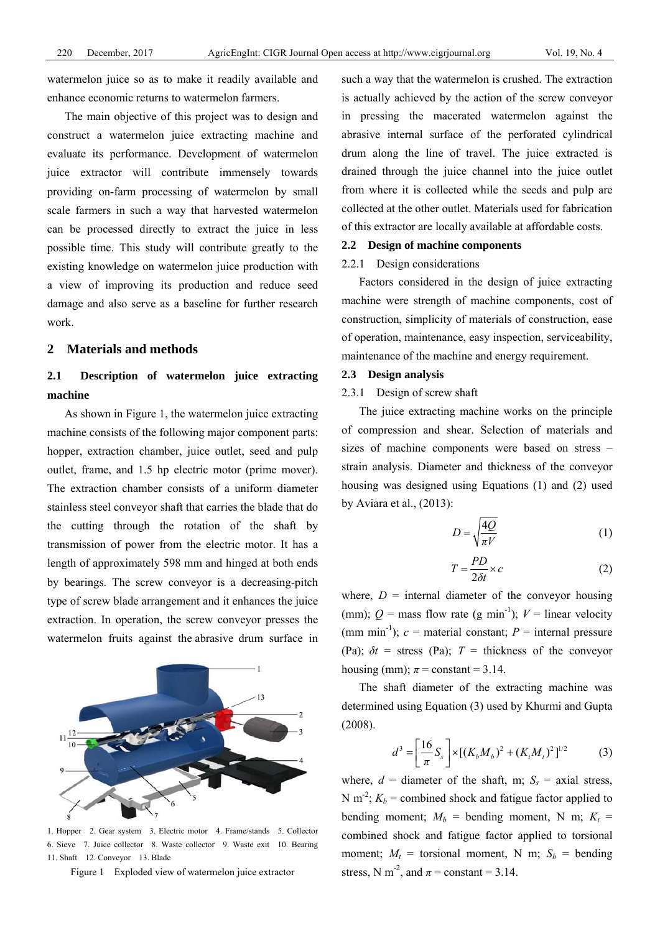watermelon juice so as to make it readily available and enhance economic returns to watermelon farmers.

 The main objective of this project was to design and construct a watermelon juice extracting machine and evaluate its performance. Development of watermelon juice extractor will contribute immensely towards providing on-farm processing of watermelon by small scale farmers in such a way that harvested watermelon can be processed directly to extract the juice in less possible time. This study will contribute greatly to the existing knowledge on watermelon juice production with a view of improving its production and reduce seed damage and also serve as a baseline for further research work.

## **2 Materials and methods**

## **2.1 Description of watermelon juice extracting machine**

 As shown in Figure 1, the watermelon juice extracting machine consists of the following major component parts: hopper, extraction chamber, juice outlet, seed and pulp outlet, frame, and 1.5 hp electric motor (prime mover). The extraction chamber consists of a uniform diameter stainless steel conveyor shaft that carries the blade that do the cutting through the rotation of the shaft by transmission of power from the electric motor. It has a length of approximately 598 mm and hinged at both ends by bearings. The screw conveyor is a decreasing-pitch type of screw blade arrangement and it enhances the juice extraction. In operation, the screw conveyor presses the watermelon fruits against the abrasive drum surface in



1. Hopper 2. Gear system 3. Electric motor 4. Frame/stands 5. Collector 6. Sieve 7. Juice collector 8. Waste collector 9. Waste exit 10. Bearing 11. Shaft 12. Conveyor 13. Blade

Figure 1 Exploded view of watermelon juice extractor

such a way that the watermelon is crushed. The extraction is actually achieved by the action of the screw conveyor in pressing the macerated watermelon against the abrasive internal surface of the perforated cylindrical drum along the line of travel. The juice extracted is drained through the juice channel into the juice outlet from where it is collected while the seeds and pulp are collected at the other outlet. Materials used for fabrication of this extractor are locally available at affordable costs.

#### **2.2 Design of machine components**

#### 2.2.1 Design considerations

Factors considered in the design of juice extracting machine were strength of machine components, cost of construction, simplicity of materials of construction, ease of operation, maintenance, easy inspection, serviceability, maintenance of the machine and energy requirement.

#### **2.3 Design analysis**

### 2.3.1 Design of screw shaft

The juice extracting machine works on the principle of compression and shear. Selection of materials and sizes of machine components were based on stress – strain analysis. Diameter and thickness of the conveyor housing was designed using Equations (1) and (2) used by Aviara et al., (2013):

$$
D = \sqrt{\frac{4Q}{\pi V}}\tag{1}
$$

$$
T = \frac{PD}{2\delta t} \times c \tag{2}
$$

where,  $D =$  internal diameter of the conveyor housing (mm);  $Q = \text{mass flow rate (g min}^{-1})$ ;  $V = \text{linear velocity}$ (mm min<sup>-1</sup>);  $c$  = material constant;  $P$  = internal pressure (Pa);  $\delta t$  = stress (Pa);  $T$  = thickness of the conveyor housing (mm);  $\pi$  = constant = 3.14.

The shaft diameter of the extracting machine was determined using Equation (3) used by Khurmi and Gupta (2008).

$$
d^{3} = \left[\frac{16}{\pi}S_{s}\right] \times \left[ (K_{b}M_{b})^{2} + (K_{t}M_{t})^{2} \right]^{1/2}
$$
 (3)

where,  $d =$  diameter of the shaft, m;  $S_s =$  axial stress, N m<sup>-2</sup>;  $K_b$  = combined shock and fatigue factor applied to bending moment;  $M_b$  = bending moment, N m;  $K_t$  = combined shock and fatigue factor applied to torsional moment;  $M_t$  = torsional moment, N m;  $S_b$  = bending stress, N m<sup>-2</sup>, and  $\pi$  = constant = 3.14.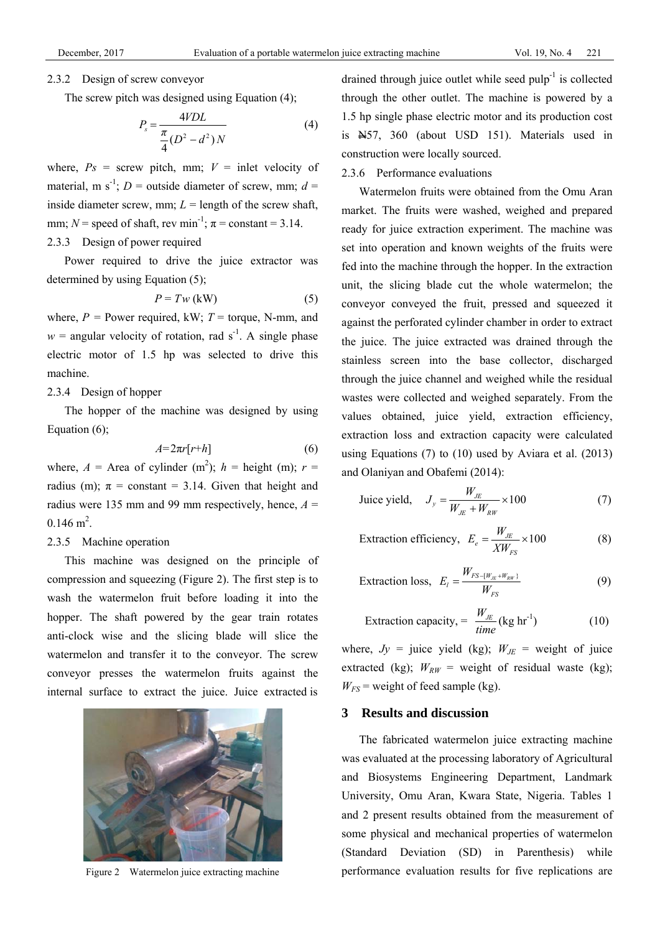#### 2.3.2 Design of screw conveyor

The screw pitch was designed using Equation (4);

$$
P_s = \frac{4VDL}{\frac{\pi}{4}(D^2 - d^2)N}
$$
 (4)

where,  $Ps =$  screw pitch, mm;  $V =$  inlet velocity of material, m s<sup>-1</sup>; *D* = outside diameter of screw, mm;  $d =$ inside diameter screw, mm;  $L =$  length of the screw shaft, mm;  $N$  = speed of shaft, rev min<sup>-1</sup>;  $\pi$  = constant = 3.14.

## 2.3.3 Design of power required

Power required to drive the juice extractor was determined by using Equation (5);

$$
P = Tw (kW)
$$
 (5)

where,  $P =$  Power required, kW;  $T =$  torque, N-mm, and  $w =$  angular velocity of rotation, rad s<sup>-1</sup>. A single phase electric motor of 1.5 hp was selected to drive this machine.

## 2.3.4 Design of hopper

The hopper of the machine was designed by using Equation (6);

$$
A = 2\pi r[r+h]
$$
 (6)

where,  $A =$  Area of cylinder (m<sup>2</sup>);  $h =$  height (m);  $r =$ radius (m);  $\pi$  = constant = 3.14. Given that height and radius were 135 mm and 99 mm respectively, hence,  $A =$  $0.146$  m<sup>2</sup>.

### 2.3.5 Machine operation

 This machine was designed on the principle of compression and squeezing (Figure 2). The first step is to wash the watermelon fruit before loading it into the hopper. The shaft powered by the gear train rotates anti-clock wise and the slicing blade will slice the watermelon and transfer it to the conveyor. The screw conveyor presses the watermelon fruits against the internal surface to extract the juice. Juice extracted is



Figure 2 Watermelon juice extracting machine

drained through juice outlet while seed  $\text{pulp}^{-1}$  is collected through the other outlet. The machine is powered by a 1.5 hp single phase electric motor and its production cost is N57, 360 (about USD 151). Materials used in construction were locally sourced.

## 2.3.6 Performance evaluations

 Watermelon fruits were obtained from the Omu Aran market. The fruits were washed, weighed and prepared ready for juice extraction experiment. The machine was set into operation and known weights of the fruits were fed into the machine through the hopper. In the extraction unit, the slicing blade cut the whole watermelon; the conveyor conveyed the fruit, pressed and squeezed it against the perforated cylinder chamber in order to extract the juice. The juice extracted was drained through the stainless screen into the base collector, discharged through the juice channel and weighed while the residual wastes were collected and weighed separately. From the values obtained, juice yield, extraction efficiency, extraction loss and extraction capacity were calculated using Equations (7) to (10) used by Aviara et al. (2013) and Olaniyan and Obafemi (2014):

$$
\text{Juice yield,} \quad J_y = \frac{W_{JE}}{W_{JE} + W_{RW}} \times 100 \tag{7}
$$

$$
Extraction efficiency, E_e = \frac{W_{JE}}{XW_{FS}} \times 100
$$
 (8)

$$
\text{Extraction loss, } E_{l} = \frac{W_{FS - \{W_{JE} + W_{RW}\}}}{W_{FS}} \tag{9}
$$

$$
Extraction capacity, = \frac{W_{JE}}{time} (kg hr^{-1})
$$
 (10)

where,  $Jy =$  juice yield (kg);  $W_{JE} =$  weight of juice extracted (kg);  $W_{RW}$  = weight of residual waste (kg);  $W_{FS}$  = weight of feed sample (kg).

## **3 Results and discussion**

 The fabricated watermelon juice extracting machine was evaluated at the processing laboratory of Agricultural and Biosystems Engineering Department, Landmark University, Omu Aran, Kwara State, Nigeria. Tables 1 and 2 present results obtained from the measurement of some physical and mechanical properties of watermelon (Standard Deviation (SD) in Parenthesis) while performance evaluation results for five replications are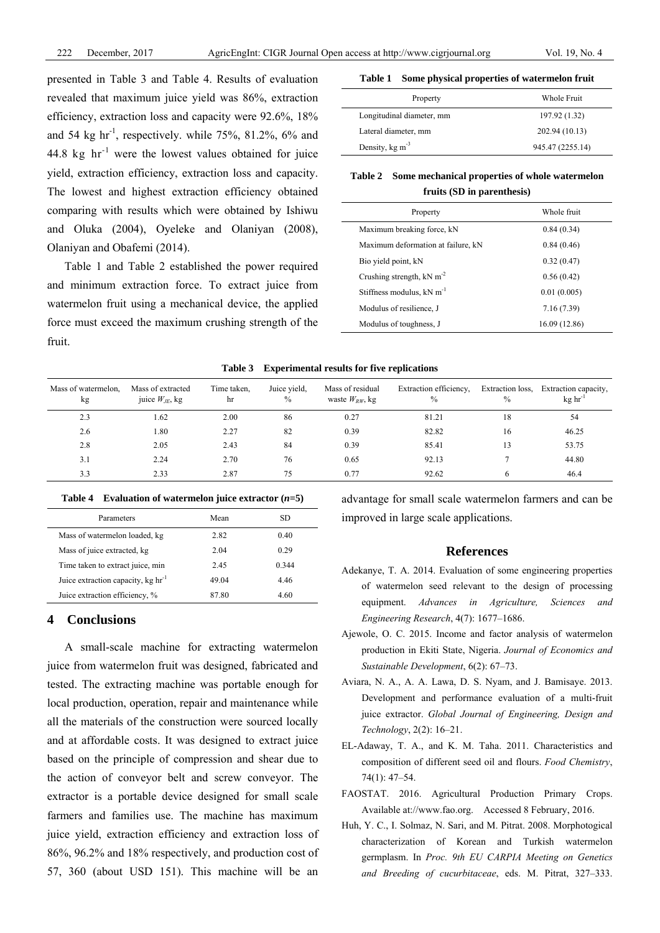presented in Table 3 and Table 4. Results of evaluation revealed that maximum juice yield was 86%, extraction efficiency, extraction loss and capacity were 92.6%, 18% and 54 kg hr<sup>-1</sup>, respectively. while 75%, 81.2%, 6% and 44.8 kg  $hr^{-1}$  were the lowest values obtained for juice yield, extraction efficiency, extraction loss and capacity. The lowest and highest extraction efficiency obtained comparing with results which were obtained by Ishiwu and Oluka (2004), Oyeleke and Olaniyan (2008), Olaniyan and Obafemi (2014).

Table 1 and Table 2 established the power required and minimum extraction force. To extract juice from watermelon fruit using a mechanical device, the applied force must exceed the maximum crushing strength of the fruit.

|  |  |  | Table 1 Some physical properties of watermelon fruit |
|--|--|--|------------------------------------------------------|
|--|--|--|------------------------------------------------------|

| Property                       | Whole Fruit      |
|--------------------------------|------------------|
| Longitudinal diameter, mm      | 197.92 (1.32)    |
| Lateral diameter, mm           | 202.94 (10.13)   |
| Density, $kg \, \text{m}^{-3}$ | 945.47 (2255.14) |

**Table 2 Some mechanical properties of whole watermelon fruits (SD in parenthesis)**

| Property                                | Whole fruit   |
|-----------------------------------------|---------------|
| Maximum breaking force, kN              | 0.84(0.34)    |
| Maximum deformation at failure, kN      | 0.84(0.46)    |
| Bio yield point, kN                     | 0.32(0.47)    |
| Crushing strength, $kN$ m <sup>-2</sup> | 0.56(0.42)    |
| Stiffness modulus, $kN$ m <sup>-1</sup> | 0.01(0.005)   |
| Modulus of resilience. J                | 7.16 (7.39)   |
| Modulus of toughness, J                 | 16.09 (12.86) |

**Table 3 Experimental results for five replications** 

| Mass of watermelon.<br>kg | Mass of extracted<br>juice $W_{JE}$ , kg | Time taken,<br>hr | Juice vield,<br>$\frac{0}{0}$ | Mass of residual<br>waste $W_{RW}$ , kg | Extraction efficiency,<br>$\frac{0}{0}$ | Extraction loss,<br>$\frac{0}{0}$ | Extraction capacity,<br>$kg \ hr^{-1}$ |
|---------------------------|------------------------------------------|-------------------|-------------------------------|-----------------------------------------|-----------------------------------------|-----------------------------------|----------------------------------------|
| 2.3                       | 1.62                                     | 2.00              | 86                            | 0.27                                    | 81.21                                   | 18                                | 54                                     |
| 2.6                       | 1.80                                     | 2.27              | 82                            | 0.39                                    | 82.82                                   | 16                                | 46.25                                  |
| 2.8                       | 2.05                                     | 2.43              | 84                            | 0.39                                    | 85.41                                   |                                   | 53.75                                  |
| 3.1                       | 2.24                                     | 2.70              | 76                            | 0.65                                    | 92.13                                   |                                   | 44.80                                  |
| 3.3                       | 2.33                                     | 2.87              | 75                            | 0.77                                    | 92.62                                   | 6                                 | 46.4                                   |

#### **Table 4** Evaluation of watermelon juice extractor  $(n=5)$

| Parameters                                | Mean  | SD    |
|-------------------------------------------|-------|-------|
| Mass of watermelon loaded, kg             | 2.82  | 0.40  |
| Mass of juice extracted, kg               | 2.04  | 0.29  |
| Time taken to extract juice, min          | 2.45  | 0.344 |
| Juice extraction capacity, $kg \ hr^{-1}$ | 49.04 | 4.46  |
| Juice extraction efficiency, %            | 87.80 | 4.60  |

## **4 Conclusions**

A small-scale machine for extracting watermelon juice from watermelon fruit was designed, fabricated and tested. The extracting machine was portable enough for local production, operation, repair and maintenance while all the materials of the construction were sourced locally and at affordable costs. It was designed to extract juice based on the principle of compression and shear due to the action of conveyor belt and screw conveyor. The extractor is a portable device designed for small scale farmers and families use. The machine has maximum juice yield, extraction efficiency and extraction loss of 86%, 96.2% and 18% respectively, and production cost of 57, 360 (about USD 151). This machine will be an

advantage for small scale watermelon farmers and can be improved in large scale applications.

## **References**

- Adekanye, T. A. 2014. Evaluation of some engineering properties of watermelon seed relevant to the design of processing equipment. *Advances in Agriculture, Sciences and Engineering Research*, 4(7): 1677–1686.
- Ajewole, O. C. 2015. Income and factor analysis of watermelon production in Ekiti State, Nigeria. *Journal of Economics and Sustainable Development*, 6(2): 67–73.
- Aviara, N. A., A. A. Lawa, D. S. Nyam, and J. Bamisaye. 2013. Development and performance evaluation of a multi-fruit juice extractor. *Global Journal of Engineering, Design and Technology*, 2(2): 16–21.
- EL-Adaway, T. A., and K. M. Taha. 2011. Characteristics and composition of different seed oil and flours. *Food Chemistry*, 74(1): 47–54.
- FAOSTAT. 2016. Agricultural Production Primary Crops. Available at://www.fao.org. Accessed 8 February, 2016.
- Huh, Y. C., I. Solmaz, N. Sari, and M. Pitrat. 2008. Morphotogical characterization of Korean and Turkish watermelon germplasm. In *Proc. 9th EU CARPIA Meeting on Genetics and Breeding of cucurbitaceae*, eds. M. Pitrat, 327–333.